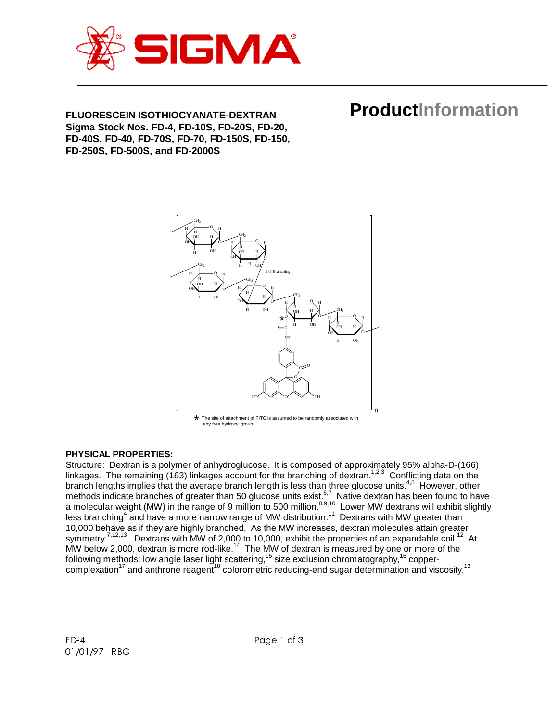

# **FLUORESCEIN ISOTHIOCYANATE-DEXTRAN Sigma Stock Nos. FD-4, FD-10S, FD-20S, FD-20, FD-40S, FD-40, FD-70S, FD-70, FD-150S, FD-150, FD-250S, FD-500S, and FD-2000S**

#### n OH H H OH  $CH<sub>2</sub>$ OH н $\rightarrow$ O O H H H H H 1-3 Branching OH H H OH OH OH H H OH H H O O H /T/工 Y H OH CH2 O O  $_{\rm H}$  H  $_{\rm H}$  H  $_{\rm H}$ O  $\text{CH}_2$ CH2  $H \searrow$ H O O  $s = c$   $\cdots$   $\cdots$   $\cdots$   $\cdots$ NH O O  $\epsilon^0$  $_{\rm HO}$   $\sim$   $_{\rm O}$   $\sim$   $_{\rm OH}$ H OH H OH H O O  $H \nearrow$   $\rightarrow$   $H$ OH  $_{\rm H}$  )  $_{\rm H_2}$  $H$  OH  $\text{CH}_2$ OH н ∕ —— ५ н O O OH H \*

**ProductInformation**

\* The site of attachment of FITC is assumed to be randomly associated with any free hydroxyl group

## **PHYSICAL PROPERTIES:**

Structure: Dextran is a polymer of anhydroglucose. It is composed of approximately 95% alpha-D-(166) linkages. The remaining (163) linkages account for the branching of dextran.<sup>1,2,3</sup> Conflicting data on the branch lengths implies that the average branch length is less than three glucose units.<sup>4,5</sup> However, other methods indicate branches of greater than 50 glucose units exist.<sup>6,7</sup> Native dextran has been found to have a molecular weight (MW) in the range of 9 million to 500 million. $8,9,10$  Lower MW dextrans will exhibit slightly less branching<sup>4</sup> and have a more narrow range of MW distribution.<sup>11</sup> Dextrans with MW greater than 10,000 behave as if they are highly branched. As the MW increases, dextran molecules attain greater symmetry.<sup>7,12,13</sup> Dextrans with MW of 2,000 to 10,000, exhibit the properties of an expandable coil.<sup>12</sup> At MW below 2,000, dextran is more rod-like.<sup>14</sup> The MW of dextran is measured by one or more of the following methods: low angle laser light scattering,<sup>15</sup> size exclusion chromatography,<sup>16</sup> copper- $\mu$  complexation<sup>17</sup> and anthrone reagent<sup>18</sup> colorometric reducing-end sugar determination and viscosity.<sup>12</sup>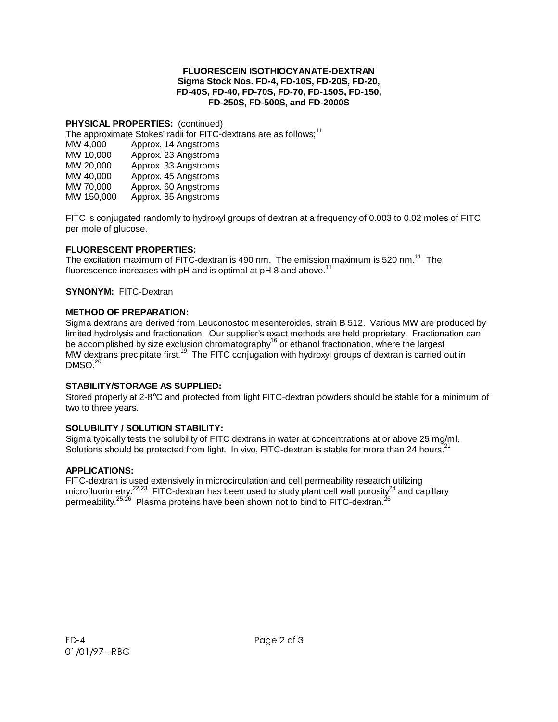#### **FLUORESCEIN ISOTHIOCYANATE-DEXTRAN Sigma Stock Nos. FD-4, FD-10S, FD-20S, FD-20, FD-40S, FD-40, FD-70S, FD-70, FD-150S, FD-150, FD-250S, FD-500S, and FD-2000S**

### **PHYSICAL PROPERTIES:** (continued)

The approximate Stokes' radii for FITC-dextrans are as follows;<sup>11</sup>

| MW 4,000   | Approx. 14 Angstroms |
|------------|----------------------|
| MW 10,000  | Approx. 23 Angstroms |
| MW 20,000  | Approx. 33 Angstroms |
| MW 40,000  | Approx. 45 Angstroms |
| MW 70,000  | Approx. 60 Angstroms |
| MW 150,000 | Approx. 85 Angstroms |

FITC is conjugated randomly to hydroxyl groups of dextran at a frequency of 0.003 to 0.02 moles of FITC per mole of glucose.

### **FLUORESCENT PROPERTIES:**

The excitation maximum of FITC-dextran is 490 nm. The emission maximum is 520 nm.<sup>11</sup> The fluorescence increases with pH and is optimal at  $pH$  8 and above.<sup>11</sup>

### **SYNONYM:** FITC-Dextran

### **METHOD OF PREPARATION:**

Sigma dextrans are derived from Leuconostoc mesenteroides, strain B 512. Various MW are produced by limited hydrolysis and fractionation. Our supplier's exact methods are held proprietary. Fractionation can be accomplished by size exclusion chromatography<sup>16</sup> or ethanol fractionation, where the largest MW dextrans precipitate first.<sup>19</sup> The FITC conjugation with hydroxyl groups of dextran is carried out in  $DMSO.<sup>20</sup>$ 

## **STABILITY/STORAGE AS SUPPLIED:**

Stored properly at 2-8°C and protected from light FITC-dextran powders should be stable for a minimum of two to three years.

## **SOLUBILITY / SOLUTION STABILITY:**

Sigma typically tests the solubility of FITC dextrans in water at concentrations at or above 25 mg/ml. Solutions should be protected from light. In vivo, FITC-dextran is stable for more than 24 hours.<sup>2</sup>

## **APPLICATIONS:**

FITC-dextran is used extensively in microcirculation and cell permeability research utilizing microfluorimetry.<sup>22,23</sup> FITC-dextran has been used to study plant cell wall porosity<sup>24</sup> and capillary permeability.<sup>25,26</sup> Plasma proteins have been shown not to bind to FITC-dextran.<sup>26</sup>